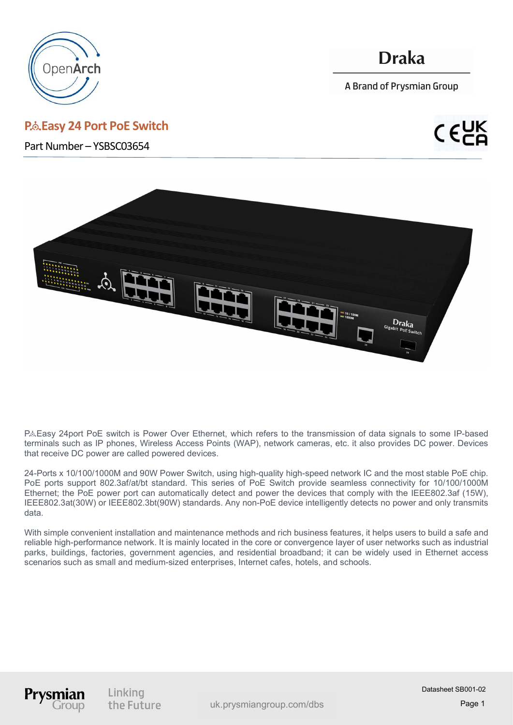

# P.& Easy 24 Port PoE Switch

Part Number – YSBSC03654

# **Draka**

A Brand of Prysmian Group



P& Easy 24port PoE switch is Power Over Ethernet, which refers to the transmission of data signals to some IP-based terminals such as IP phones, Wireless Access Points (WAP), network cameras, etc. it also provides DC power. Devices that receive DC power are called powered devices.

24-Ports x 10/100/1000M and 90W Power Switch, using high-quality high-speed network IC and the most stable PoE chip. PoE ports support 802.3af/at/bt standard. This series of PoE Switch provide seamless connectivity for 10/100/1000M Ethernet; the PoE power port can automatically detect and power the devices that comply with the IEEE802.3af (15W), IEEE802.3at(30W) or IEEE802.3bt(90W) standards. Any non-PoE device intelligently detects no power and only transmits data.

With simple convenient installation and maintenance methods and rich business features, it helps users to build a safe and reliable high-performance network. It is mainly located in the core or convergence layer of user networks such as industrial parks, buildings, factories, government agencies, and residential broadband; it can be widely used in Ethernet access scenarios such as small and medium-sized enterprises, Internet cafes, hotels, and schools.

Prysm

Linking the Future

www.prysmiangroup.com uk.prysmiangroup.com/dbs

Datasheet SB001-02